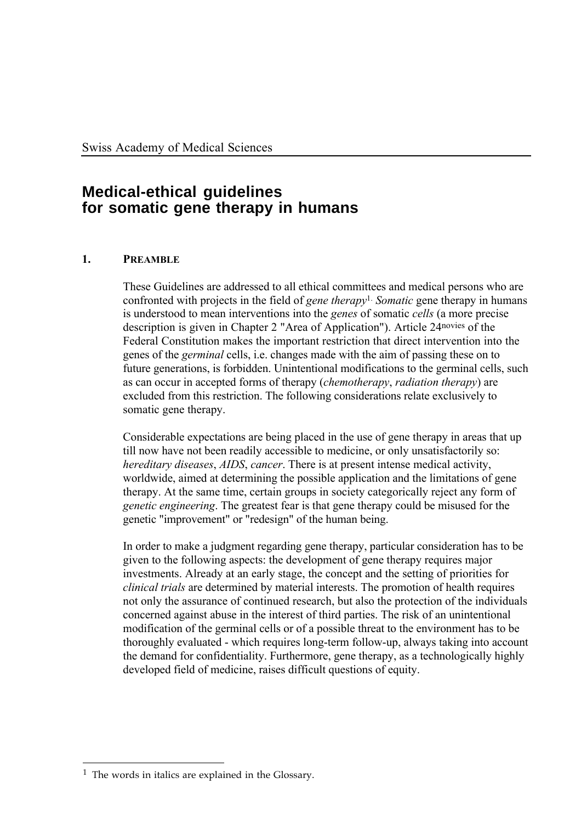# **Medical-ethical guidelines for somatic gene therapy in humans**

# **1. PREAMBLE**

These Guidelines are addressed to all ethical committees and medical persons who are confronted with projects in the field of *gene therapy*1. *Somatic* gene therapy in humans is understood to mean interventions into the *genes* of somatic *cells* (a more precise description is given in Chapter 2 "Area of Application"). Article 24novies of the Federal Constitution makes the important restriction that direct intervention into the genes of the *germinal* cells, i.e. changes made with the aim of passing these on to future generations, is forbidden. Unintentional modifications to the germinal cells, such as can occur in accepted forms of therapy (*chemotherapy*, *radiation therapy*) are excluded from this restriction. The following considerations relate exclusively to somatic gene therapy.

Considerable expectations are being placed in the use of gene therapy in areas that up till now have not been readily accessible to medicine, or only unsatisfactorily so: *hereditary diseases*, *AIDS*, *cancer*. There is at present intense medical activity, worldwide, aimed at determining the possible application and the limitations of gene therapy. At the same time, certain groups in society categorically reject any form of *genetic engineering*. The greatest fear is that gene therapy could be misused for the genetic "improvement" or "redesign" of the human being.

In order to make a judgment regarding gene therapy, particular consideration has to be given to the following aspects: the development of gene therapy requires major investments. Already at an early stage, the concept and the setting of priorities for *clinical trials* are determined by material interests. The promotion of health requires not only the assurance of continued research, but also the protection of the individuals concerned against abuse in the interest of third parties. The risk of an unintentional modification of the germinal cells or of a possible threat to the environment has to be thoroughly evaluated - which requires long-term follow-up, always taking into account the demand for confidentiality. Furthermore, gene therapy, as a technologically highly developed field of medicine, raises difficult questions of equity.

 $\overline{a}$ 1 The words in italics are explained in the Glossary.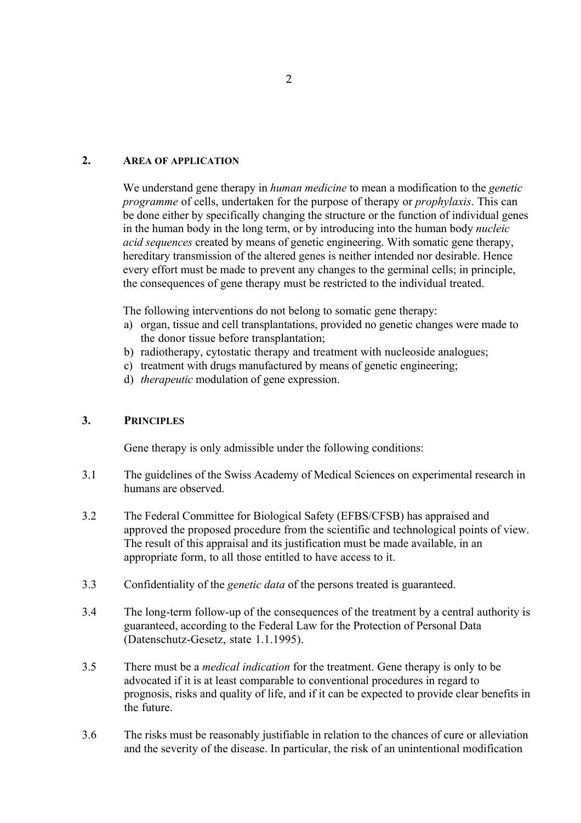#### **2. AREA OF APPLICATION**

We understand gene therapy in *human medicine* to mean a modification to the *genetic programme* of cells, undertaken for the purpose of therapy or *prophylaxis*. This can be done either by specifically changing the structure or the function of individual genes in the human body in the long term, or by introducing into the human body *nucleic acid sequences* created by means of genetic engineering. With somatic gene therapy, hereditary transmission of the altered genes is neither intended nor desirable. Hence every effort must be made to prevent any changes to the germinal cells; in principle, the consequences of gene therapy must be restricted to the individual treated.

The following interventions do not belong to somatic gene therapy:

- a) organ, tissue and cell transplantations, provided no genetic changes were made to the donor tissue before transplantation;
- b) radiotherapy, cytostatic therapy and treatment with nucleoside analogues;
- c) treatment with drugs manufactured by means of genetic engineering;
- d) *therapeutic* modulation of gene expression.

#### **3. PRINCIPLES**

Gene therapy is only admissible under the following conditions:

- 3.1 The guidelines of the Swiss Academy of Medical Sciences on experimental research in humans are observed.
- 3.2 The Federal Committee for Biological Safety (EFBS/CFSB) has appraised and approved the proposed procedure from the scientific and technological points of view. The result of this appraisal and its justification must be made available, in an appropriate form, to all those entitled to have access to it.
- 3.3 Confidentiality of the *genetic data* of the persons treated is guaranteed.
- 3.4 The long-term follow-up of the consequences of the treatment by a central authority is guaranteed, according to the Federal Law for the Protection of Personal Data (Datenschutz-Gesetz, state 1.1.1995).
- 3.5 There must be a *medical indication* for the treatment. Gene therapy is only to be advocated if it is at least comparable to conventional procedures in regard to prognosis, risks and quality of life, and if it can be expected to provide clear benefits in the future.
- 3.6 The risks must be reasonably justifiable in relation to the chances of cure or alleviation and the severity of the disease. In particular, the risk of an unintentional modification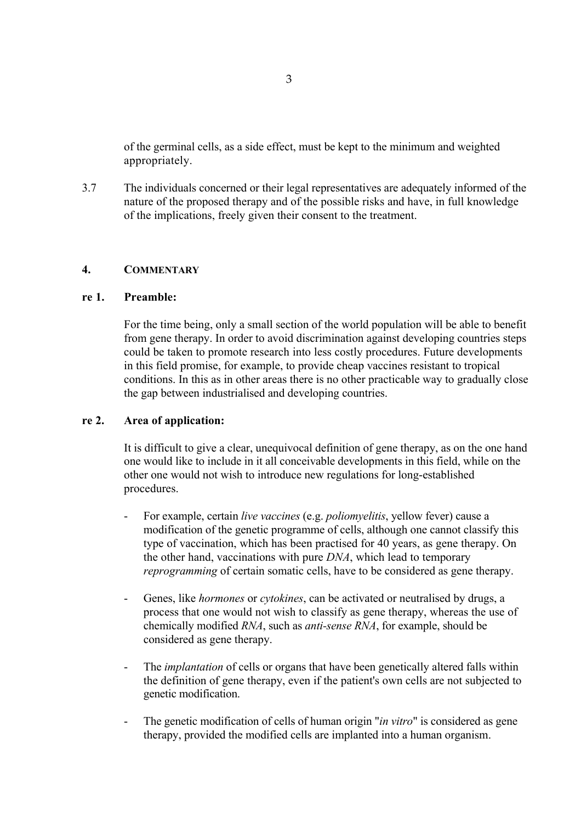of the germinal cells, as a side effect, must be kept to the minimum and weighted appropriately.

3.7 The individuals concerned or their legal representatives are adequately informed of the nature of the proposed therapy and of the possible risks and have, in full knowledge of the implications, freely given their consent to the treatment.

#### **4. COMMENTARY**

#### **re 1. Preamble:**

For the time being, only a small section of the world population will be able to benefit from gene therapy. In order to avoid discrimination against developing countries steps could be taken to promote research into less costly procedures. Future developments in this field promise, for example, to provide cheap vaccines resistant to tropical conditions. In this as in other areas there is no other practicable way to gradually close the gap between industrialised and developing countries.

#### **re 2. Area of application:**

It is difficult to give a clear, unequivocal definition of gene therapy, as on the one hand one would like to include in it all conceivable developments in this field, while on the other one would not wish to introduce new regulations for long-established procedures.

- For example, certain *live vaccines* (e.g. *poliomyelitis*, yellow fever) cause a modification of the genetic programme of cells, although one cannot classify this type of vaccination, which has been practised for 40 years, as gene therapy. On the other hand, vaccinations with pure *DNA*, which lead to temporary *reprogramming* of certain somatic cells, have to be considered as gene therapy.
- Genes, like *hormones* or *cytokines*, can be activated or neutralised by drugs, a process that one would not wish to classify as gene therapy, whereas the use of chemically modified *RNA*, such as *anti-sense RNA*, for example, should be considered as gene therapy.
- The *implantation* of cells or organs that have been genetically altered falls within the definition of gene therapy, even if the patient's own cells are not subjected to genetic modification.
- The genetic modification of cells of human origin "*in vitro*" is considered as gene therapy, provided the modified cells are implanted into a human organism.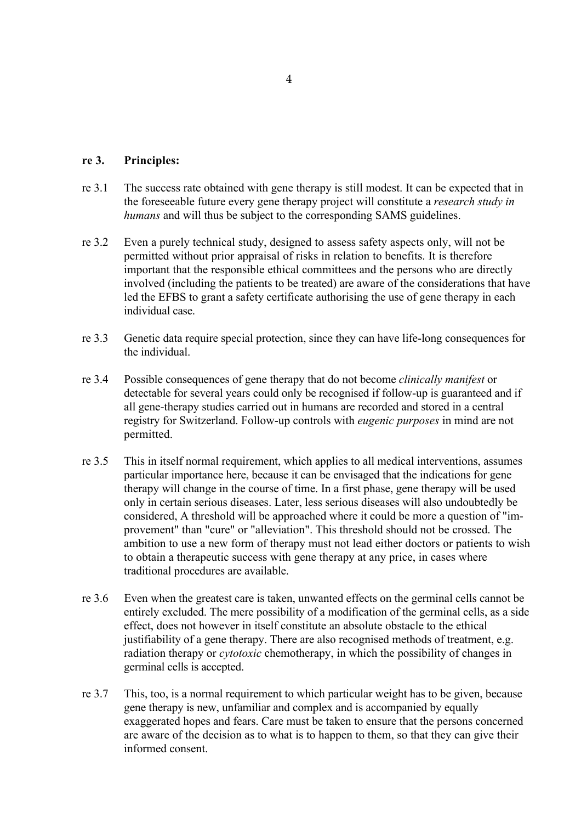#### **re 3. Principles:**

- re 3.1 The success rate obtained with gene therapy is still modest. It can be expected that in the foreseeable future every gene therapy project will constitute a *research study in humans* and will thus be subject to the corresponding SAMS guidelines.
- re 3.2 Even a purely technical study, designed to assess safety aspects only, will not be permitted without prior appraisal of risks in relation to benefits. It is therefore important that the responsible ethical committees and the persons who are directly involved (including the patients to be treated) are aware of the considerations that have led the EFBS to grant a safety certificate authorising the use of gene therapy in each individual case.
- re 3.3 Genetic data require special protection, since they can have life-long consequences for the individual.
- re 3.4 Possible consequences of gene therapy that do not become *clinically manifest* or detectable for several years could only be recognised if follow-up is guaranteed and if all gene-therapy studies carried out in humans are recorded and stored in a central registry for Switzerland. Follow-up controls with *eugenic purposes* in mind are not permitted.
- re 3.5 This in itself normal requirement, which applies to all medical interventions, assumes particular importance here, because it can be envisaged that the indications for gene therapy will change in the course of time. In a first phase, gene therapy will be used only in certain serious diseases. Later, less serious diseases will also undoubtedly be considered, A threshold will be approached where it could be more a question of "improvement" than "cure" or "alleviation". This threshold should not be crossed. The ambition to use a new form of therapy must not lead either doctors or patients to wish to obtain a therapeutic success with gene therapy at any price, in cases where traditional procedures are available.
- re 3.6 Even when the greatest care is taken, unwanted effects on the germinal cells cannot be entirely excluded. The mere possibility of a modification of the germinal cells, as a side effect, does not however in itself constitute an absolute obstacle to the ethical justifiability of a gene therapy. There are also recognised methods of treatment, e.g. radiation therapy or *cytotoxic* chemotherapy, in which the possibility of changes in germinal cells is accepted.
- re 3.7 This, too, is a normal requirement to which particular weight has to be given, because gene therapy is new, unfamiliar and complex and is accompanied by equally exaggerated hopes and fears. Care must be taken to ensure that the persons concerned are aware of the decision as to what is to happen to them, so that they can give their informed consent.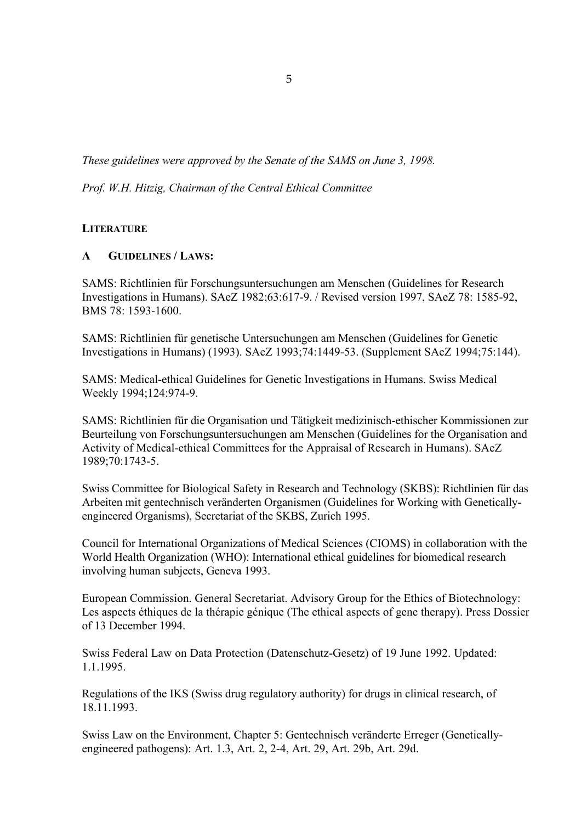*These guidelines were approved by the Senate of the SAMS on June 3, 1998.*

*Prof. W.H. Hitzig, Chairman of the Central Ethical Committee*

## **LITERATURE**

## **A GUIDELINES / LAWS:**

SAMS: Richtlinien für Forschungsuntersuchungen am Menschen (Guidelines for Research Investigations in Humans). SAeZ 1982;63:617-9. / Revised version 1997, SAeZ 78: 1585-92, BMS 78: 1593-1600.

SAMS: Richtlinien für genetische Untersuchungen am Menschen (Guidelines for Genetic Investigations in Humans) (1993). SAeZ 1993;74:1449-53. (Supplement SAeZ 1994;75:144).

SAMS: Medical-ethical Guidelines for Genetic Investigations in Humans. Swiss Medical Weekly 1994;124:974-9.

SAMS: Richtlinien für die Organisation und Tätigkeit medizinisch-ethischer Kommissionen zur Beurteilung von Forschungsuntersuchungen am Menschen (Guidelines for the Organisation and Activity of Medical-ethical Committees for the Appraisal of Research in Humans). SAeZ 1989;70:1743-5.

Swiss Committee for Biological Safety in Research and Technology (SKBS): Richtlinien für das Arbeiten mit gentechnisch veränderten Organismen (Guidelines for Working with Geneticallyengineered Organisms), Secretariat of the SKBS, Zurich 1995.

Council for International Organizations of Medical Sciences (CIOMS) in collaboration with the World Health Organization (WHO): International ethical guidelines for biomedical research involving human subjects, Geneva 1993.

European Commission. General Secretariat. Advisory Group for the Ethics of Biotechnology: Les aspects éthiques de la thérapie génique (The ethical aspects of gene therapy). Press Dossier of 13 December 1994.

Swiss Federal Law on Data Protection (Datenschutz-Gesetz) of 19 June 1992. Updated: 1.1.1995.

Regulations of the IKS (Swiss drug regulatory authority) for drugs in clinical research, of 18.11.1993.

Swiss Law on the Environment, Chapter 5: Gentechnisch veränderte Erreger (Geneticallyengineered pathogens): Art. 1.3, Art. 2, 2-4, Art. 29, Art. 29b, Art. 29d.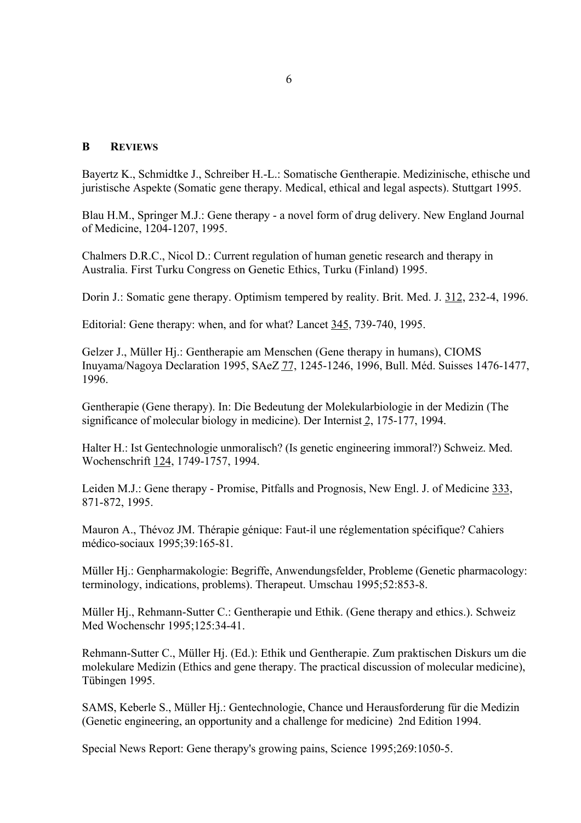#### **B REVIEWS**

Bayertz K., Schmidtke J., Schreiber H.-L.: Somatische Gentherapie. Medizinische, ethische und juristische Aspekte (Somatic gene therapy. Medical, ethical and legal aspects). Stuttgart 1995.

Blau H.M., Springer M.J.: Gene therapy - a novel form of drug delivery. New England Journal of Medicine, 1204-1207, 1995.

Chalmers D.R.C., Nicol D.: Current regulation of human genetic research and therapy in Australia. First Turku Congress on Genetic Ethics, Turku (Finland) 1995.

Dorin J.: Somatic gene therapy. Optimism tempered by reality. Brit. Med. J. 312, 232-4, 1996.

Editorial: Gene therapy: when, and for what? Lancet 345, 739-740, 1995.

Gelzer J., Müller Hj.: Gentherapie am Menschen (Gene therapy in humans), CIOMS Inuyama/Nagoya Declaration 1995, SAeZ 77, 1245-1246, 1996, Bull. Méd. Suisses 1476-1477, 1996.

Gentherapie (Gene therapy). In: Die Bedeutung der Molekularbiologie in der Medizin (The significance of molecular biology in medicine). Der Internist 2, 175-177, 1994.

Halter H.: Ist Gentechnologie unmoralisch? (Is genetic engineering immoral?) Schweiz. Med. Wochenschrift 124, 1749-1757, 1994.

Leiden M.J.: Gene therapy - Promise, Pitfalls and Prognosis, New Engl. J. of Medicine 333, 871-872, 1995.

Mauron A., Thévoz JM. Thérapie génique: Faut-il une réglementation spécifique? Cahiers médico-sociaux 1995;39:165-81.

Müller Hj.: Genpharmakologie: Begriffe, Anwendungsfelder, Probleme (Genetic pharmacology: terminology, indications, problems). Therapeut. Umschau 1995;52:853-8.

Müller Hj., Rehmann-Sutter C.: Gentherapie und Ethik. (Gene therapy and ethics.). Schweiz Med Wochenschr 1995;125:34-41.

Rehmann-Sutter C., Müller Hj. (Ed.): Ethik und Gentherapie. Zum praktischen Diskurs um die molekulare Medizin (Ethics and gene therapy. The practical discussion of molecular medicine), Tübingen 1995.

SAMS, Keberle S., Müller Hj.: Gentechnologie, Chance und Herausforderung für die Medizin (Genetic engineering, an opportunity and a challenge for medicine) 2nd Edition 1994.

Special News Report: Gene therapy's growing pains, Science 1995;269:1050-5.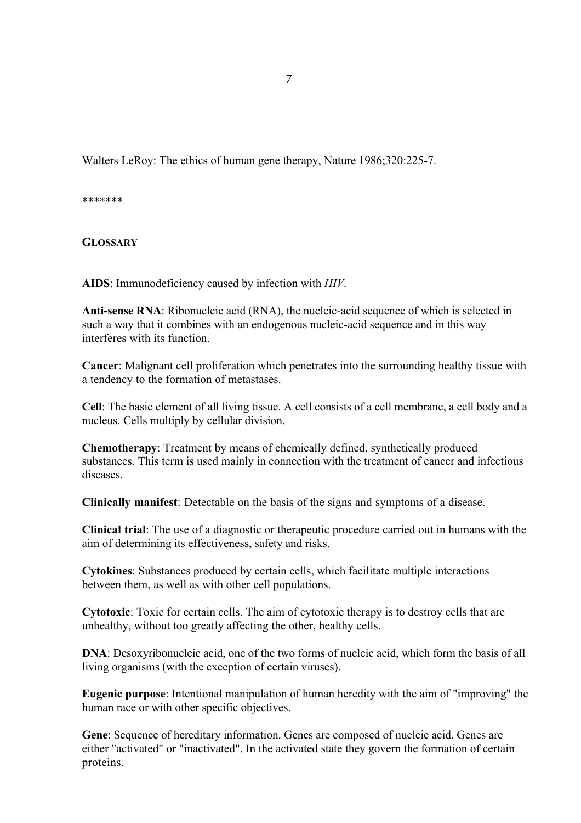Walters LeRoy: The ethics of human gene therapy, Nature 1986;320:225-7.

\*\*\*\*\*\*\*

**GLOSSARY**

**AIDS**: Immunodeficiency caused by infection with *HIV*.

**Anti-sense RNA**: Ribonucleic acid (RNA), the nucleic-acid sequence of which is selected in such a way that it combines with an endogenous nucleic-acid sequence and in this way interferes with its function.

**Cancer**: Malignant cell proliferation which penetrates into the surrounding healthy tissue with a tendency to the formation of metastases.

**Cell**: The basic element of all living tissue. A cell consists of a cell membrane, a cell body and a nucleus. Cells multiply by cellular division.

**Chemotherapy**: Treatment by means of chemically defined, synthetically produced substances. This term is used mainly in connection with the treatment of cancer and infectious diseases.

**Clinically manifest**: Detectable on the basis of the signs and symptoms of a disease.

**Clinical trial**: The use of a diagnostic or therapeutic procedure carried out in humans with the aim of determining its effectiveness, safety and risks.

**Cytokines**: Substances produced by certain cells, which facilitate multiple interactions between them, as well as with other cell populations.

**Cytotoxic**: Toxic for certain cells. The aim of cytotoxic therapy is to destroy cells that are unhealthy, without too greatly affecting the other, healthy cells.

**DNA**: Desoxyribonucleic acid, one of the two forms of nucleic acid, which form the basis of all living organisms (with the exception of certain viruses).

**Eugenic purpose**: Intentional manipulation of human heredity with the aim of "improving" the human race or with other specific objectives.

**Gene**: Sequence of hereditary information. Genes are composed of nucleic acid. Genes are either "activated" or "inactivated". In the activated state they govern the formation of certain proteins.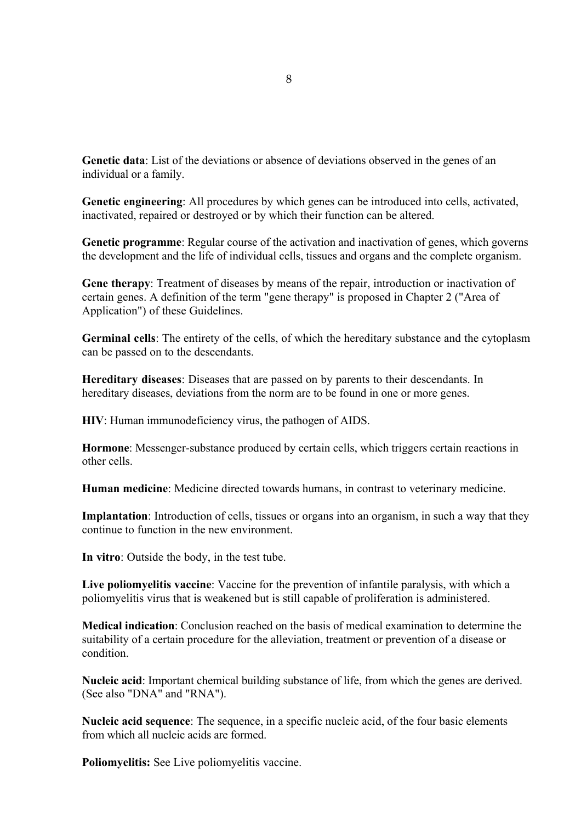**Genetic data**: List of the deviations or absence of deviations observed in the genes of an individual or a family.

**Genetic engineering**: All procedures by which genes can be introduced into cells, activated, inactivated, repaired or destroyed or by which their function can be altered.

**Genetic programme**: Regular course of the activation and inactivation of genes, which governs the development and the life of individual cells, tissues and organs and the complete organism.

**Gene therapy**: Treatment of diseases by means of the repair, introduction or inactivation of certain genes. A definition of the term "gene therapy" is proposed in Chapter 2 ("Area of Application") of these Guidelines.

**Germinal cells**: The entirety of the cells, of which the hereditary substance and the cytoplasm can be passed on to the descendants.

**Hereditary diseases**: Diseases that are passed on by parents to their descendants. In hereditary diseases, deviations from the norm are to be found in one or more genes.

**HIV**: Human immunodeficiency virus, the pathogen of AIDS.

**Hormone**: Messenger-substance produced by certain cells, which triggers certain reactions in other cells.

**Human medicine**: Medicine directed towards humans, in contrast to veterinary medicine.

**Implantation**: Introduction of cells, tissues or organs into an organism, in such a way that they continue to function in the new environment.

**In vitro**: Outside the body, in the test tube.

**Live poliomyelitis vaccine**: Vaccine for the prevention of infantile paralysis, with which a poliomyelitis virus that is weakened but is still capable of proliferation is administered.

**Medical indication**: Conclusion reached on the basis of medical examination to determine the suitability of a certain procedure for the alleviation, treatment or prevention of a disease or condition.

**Nucleic acid**: Important chemical building substance of life, from which the genes are derived. (See also "DNA" and "RNA").

**Nucleic acid sequence**: The sequence, in a specific nucleic acid, of the four basic elements from which all nucleic acids are formed.

**Poliomyelitis:** See Live poliomyelitis vaccine.